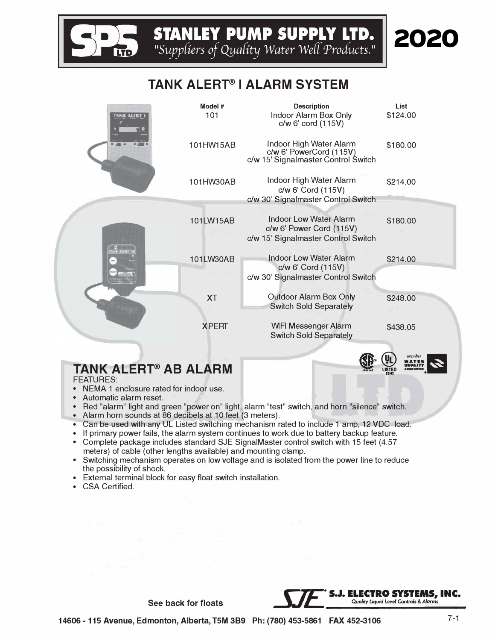STANLEY PUMP SUPPLY LTD.<br>
<sup>*rsuppliers of Quality Water Well Products.*"</sup>

## **TANK ALERT® I ALARM SYSTEM**



# **TANK ALERT® AB ALARM**

### FEATURES:

- NEMA 1 enclosure rated for indoor use.
- Automatic alarm reset.
- Red "alarm" light and green "power on" light, alarm "test" switch, and horn "silence" switch.
- Alarm horn sounds at 86 decibels at 10 feet (3 meters).
- Can be used with any UL Listed switching mechanism rated to include 1 amp, 12 VDC load.
- If primary power fails, the alarm system continues to work due to battery backup feature.
- Complete package includes standard SJE SignalMaster control switch with 15 feet (4.57 meters) of cable (other lengths available) and mounting clamp.
- Switching mechanism operates on low voltage and is isolated from the power line to reduce the possibility of shock.
- External terminal block for easy float switch installation.
- CSA Certified.



**QUALITY** 

2020

**83N2 •**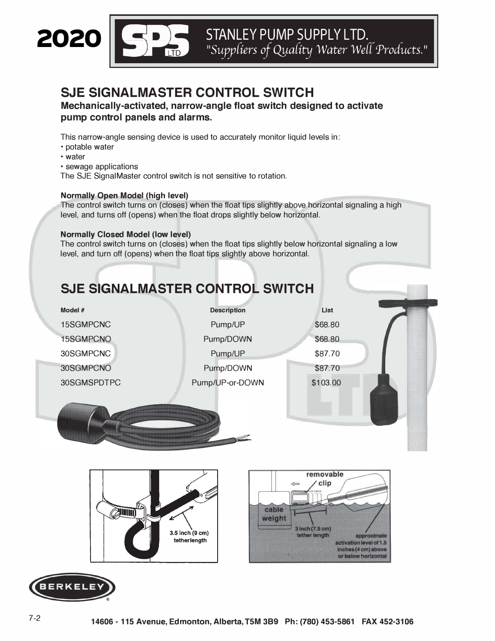

**�fts STANLEYPUMPSUPPLYLTD . .:I�** *11Suyy(iers of Qya(ity Water We(( Products. <sup>11</sup>*

## **SJE SIGNALMASTER CONTROL SWITCH**

**Mechanically-activated, narrow-angle float switch designed to activate pump control panels and alarms.** 

This narrow-angle sensing device is used to accurately monitor liquid levels in:

- potable water
- water
- sewage applications

The SJE SignalMaster control switch is not sensitive to rotation.

#### **Normally Open Model (high level)**

The control switch turns on (closes) when the float tips slightly above horizontal signaling a high level, and turns off (opens) when the float drops slightly below horizontal.

#### **Normally Closed Model (low level)**

The control switch turns on (closes) when the float tips slightly below horizontal signaling a low level, and turn off (opens) when the float tips slightly above horizontal.

# **SJE SIGNALMASTER CONTROL SWITCH**

| Model #     | <b>Description</b> | List     |  |
|-------------|--------------------|----------|--|
| 15SGMPCNC   | Pump/UP            | \$68.80  |  |
| 15SGMPCNO   | Pump/DOWN          | \$68.80  |  |
| 30SGMPCNC   | Pump/UP            | \$87.70  |  |
| 30SGMPCNO   | Pump/DOWN          | \$87.70  |  |
| 30SGMSPDTPC | Pump/UP-or-DOWN    | \$103.00 |  |
|             |                    |          |  |